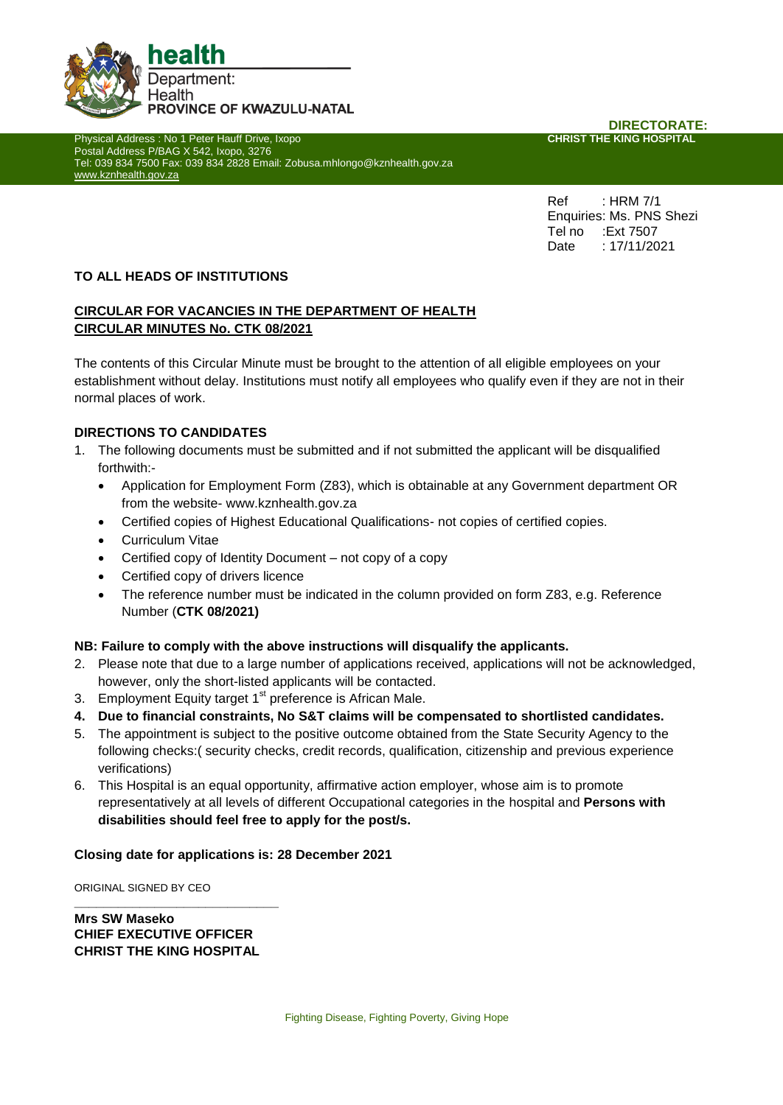

**Physical Address : No 1 Peter Hauff Drive, Ixopo** Postal Address P/BAG X 542, Ixopo, 3276 Tel: 039 834 7500 Fax: 039 834 2828 Email: Zobusa.mhlongo@kznhealth.gov.za [www.kznhealth.gov.za](http://www.kznhealth.gov.za/)

**DIRECTORATE:**<br>CHRIST THE KING HOSPITAL

Ref : HRM 7/1 Enquiries: Ms. PNS Shezi Tel no :Ext 7507 Date : 17/11/2021

## **TO ALL HEADS OF INSTITUTIONS**

## **CIRCULAR FOR VACANCIES IN THE DEPARTMENT OF HEALTH CIRCULAR MINUTES No. CTK 08/2021**

The contents of this Circular Minute must be brought to the attention of all eligible employees on your establishment without delay. Institutions must notify all employees who qualify even if they are not in their normal places of work.

## **DIRECTIONS TO CANDIDATES**

- 1. The following documents must be submitted and if not submitted the applicant will be disqualified forthwith:-
	- Application for Employment Form (Z83), which is obtainable at any Government department OR from the website- www.kznhealth.gov.za
	- Certified copies of Highest Educational Qualifications- not copies of certified copies.
	- **•** Curriculum Vitae
	- Certified copy of Identity Document not copy of a copy
	- Certified copy of drivers licence
	- The reference number must be indicated in the column provided on form Z83, e.g. Reference Number (**CTK 08/2021)**

#### **NB: Failure to comply with the above instructions will disqualify the applicants.**

- 2. Please note that due to a large number of applications received, applications will not be acknowledged, however, only the short-listed applicants will be contacted.
- 3. Employment Equity target  $1<sup>st</sup>$  preference is African Male.
- **4. Due to financial constraints, No S&T claims will be compensated to shortlisted candidates.**
- 5. The appointment is subject to the positive outcome obtained from the State Security Agency to the following checks:( security checks, credit records, qualification, citizenship and previous experience verifications)
- 6. This Hospital is an equal opportunity, affirmative action employer, whose aim is to promote representatively at all levels of different Occupational categories in the hospital and **Persons with disabilities should feel free to apply for the post/s.**

### **Closing date for applications is: 28 December 2021**

ORIGINAL SIGNED BY CEO

**Mrs SW Maseko CHIEF EXECUTIVE OFFICER CHRIST THE KING HOSPITAL**

**\_\_\_\_\_\_\_\_\_\_\_\_\_\_\_\_\_\_\_\_\_\_\_\_\_\_\_\_**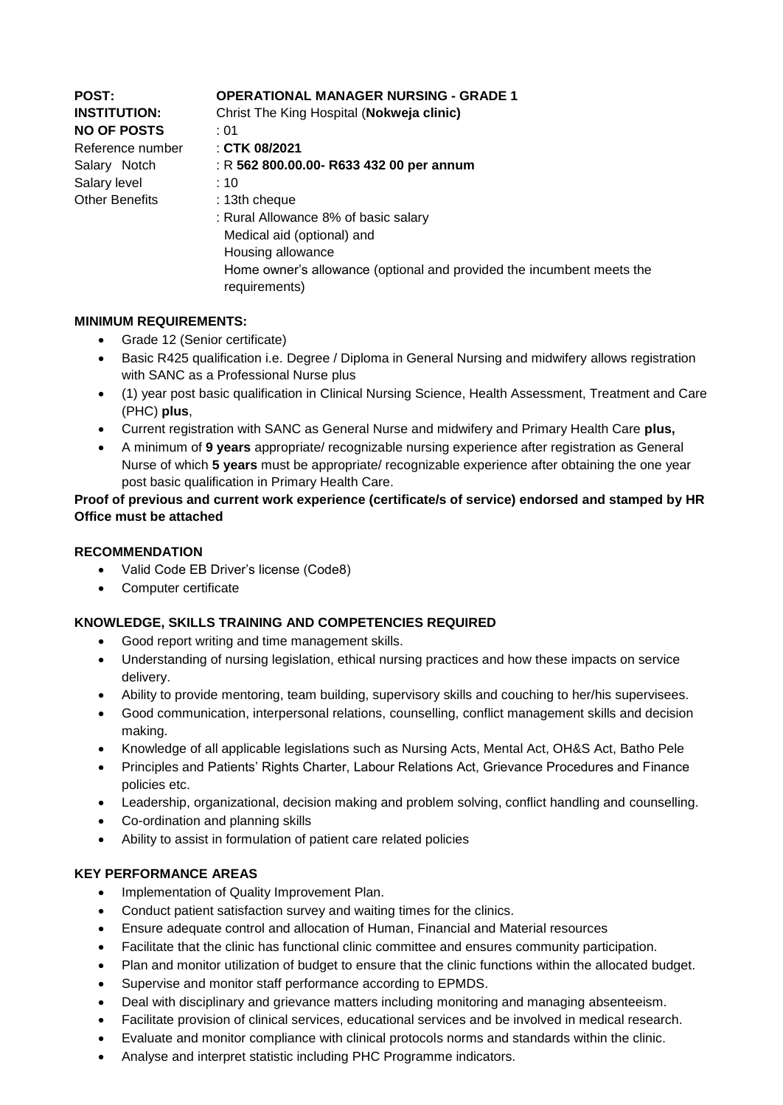| <b>POST:</b><br><b>INSTITUTION:</b><br><b>NO OF POSTS</b><br>Reference number<br>Salary Notch<br>Salary level<br><b>Other Benefits</b> | <b>OPERATIONAL MANAGER NURSING - GRADE 1</b><br>Christ The King Hospital (Nokweja clinic)<br>: 01<br>$\pm$ CTK 08/2021<br>: R 562 800.00.00- R633 432 00 per annum<br>:10<br>: 13th cheque<br>: Rural Allowance 8% of basic salary<br>Medical aid (optional) and<br>Housing allowance |
|----------------------------------------------------------------------------------------------------------------------------------------|---------------------------------------------------------------------------------------------------------------------------------------------------------------------------------------------------------------------------------------------------------------------------------------|
|                                                                                                                                        | Home owner's allowance (optional and provided the incumbent meets the<br>requirements)                                                                                                                                                                                                |

## **MINIMUM REQUIREMENTS:**

- Grade 12 (Senior certificate)
- Basic R425 qualification i.e. Degree / Diploma in General Nursing and midwifery allows registration with SANC as a Professional Nurse plus
- (1) year post basic qualification in Clinical Nursing Science, Health Assessment, Treatment and Care (PHC) **plus**,
- Current registration with SANC as General Nurse and midwifery and Primary Health Care **plus,**
- A minimum of **9 years** appropriate/ recognizable nursing experience after registration as General Nurse of which **5 years** must be appropriate/ recognizable experience after obtaining the one year post basic qualification in Primary Health Care.

# **Proof of previous and current work experience (certificate/s of service) endorsed and stamped by HR Office must be attached**

## **RECOMMENDATION**

- Valid Code EB Driver's license (Code8)
- Computer certificate

# **KNOWLEDGE, SKILLS TRAINING AND COMPETENCIES REQUIRED**

- Good report writing and time management skills.
- Understanding of nursing legislation, ethical nursing practices and how these impacts on service delivery.
- Ability to provide mentoring, team building, supervisory skills and couching to her/his supervisees.
- Good communication, interpersonal relations, counselling, conflict management skills and decision making.
- Knowledge of all applicable legislations such as Nursing Acts, Mental Act, OH&S Act, Batho Pele
- Principles and Patients' Rights Charter, Labour Relations Act, Grievance Procedures and Finance policies etc.
- Leadership, organizational, decision making and problem solving, conflict handling and counselling.
- Co-ordination and planning skills
- Ability to assist in formulation of patient care related policies

# **KEY PERFORMANCE AREAS**

- Implementation of Quality Improvement Plan.
- Conduct patient satisfaction survey and waiting times for the clinics.
- Ensure adequate control and allocation of Human, Financial and Material resources
- Facilitate that the clinic has functional clinic committee and ensures community participation.
- Plan and monitor utilization of budget to ensure that the clinic functions within the allocated budget.
- Supervise and monitor staff performance according to EPMDS.
- Deal with disciplinary and grievance matters including monitoring and managing absenteeism.
- Facilitate provision of clinical services, educational services and be involved in medical research.
- Evaluate and monitor compliance with clinical protocols norms and standards within the clinic.
- Analyse and interpret statistic including PHC Programme indicators.